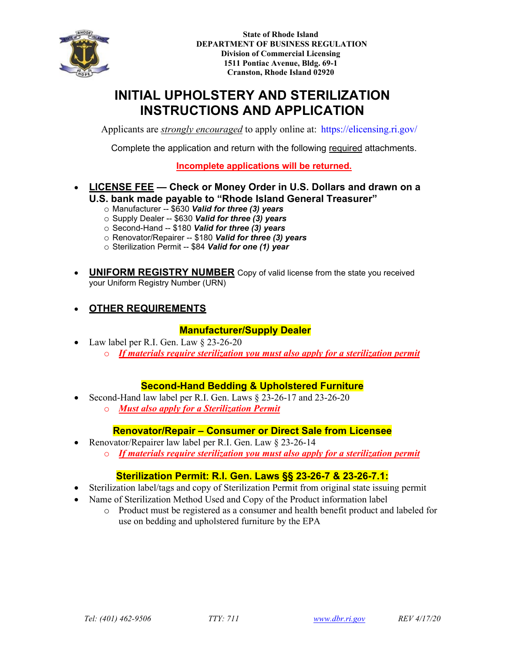

**State of Rhode Island DEPARTMENT OF BUSINESS REGULATION Division of Commercial Licensing 1511 Pontiac Avenue, Bldg. 69-1 Cranston, Rhode Island 02920**

# **INITIAL UPHOLSTERY AND STERILIZATION INSTRUCTIONS AND APPLICATION**

Applicants are *strongly encouraged* to apply online at:<https://elicensing.ri.gov/>

Complete the application and return with the following required attachments.

**Incomplete applications will be returned.**

- **LICENSE FEE Check or Money Order in U.S. Dollars and drawn on a U.S. bank made payable to "Rhode Island General Treasurer"**
	- o Manufacturer -- \$630 *Valid for three (3) years*
	- o Supply Dealer -- \$630 *Valid for three (3) years*
	- o Second-Hand -- \$180 *Valid for three (3) years*
	- o Renovator/Repairer -- \$180 *Valid for three (3) years*
	- o Sterilization Permit -- \$84 *Valid for one (1) year*
- **UNIFORM REGISTRY NUMBER** Copy of valid license from the state you received your Uniform Registry Number (URN)
- **OTHER REQUIREMENTS**

### **Manufacturer/Supply Dealer**

• Law label per R.I. Gen. Law § 23-26-20 o *If materials require sterilization you must also apply for a sterilization permit*

## **Second-Hand Bedding & Upholstered Furniture**

- Second-Hand law label per R.I. Gen. Laws § 23-26-17 and 23-26-20
	- o *Must also apply for a Sterilization Permit*

#### **Renovator/Repair – Consumer or Direct Sale from Licensee**

- Renovator/Repairer law label per R.I. Gen. Law § 23-26-14
	- o *If materials require sterilization you must also apply for a sterilization permit*

#### **Sterilization Permit: R.I. Gen. Laws §§ 23-26-7 & 23-26-7.1:**

- Sterilization label/tags and copy of Sterilization Permit from original state issuing permit
- Name of Sterilization Method Used and Copy of the Product information label
	- o Product must be registered as a consumer and health benefit product and labeled for use on bedding and upholstered furniture by the EPA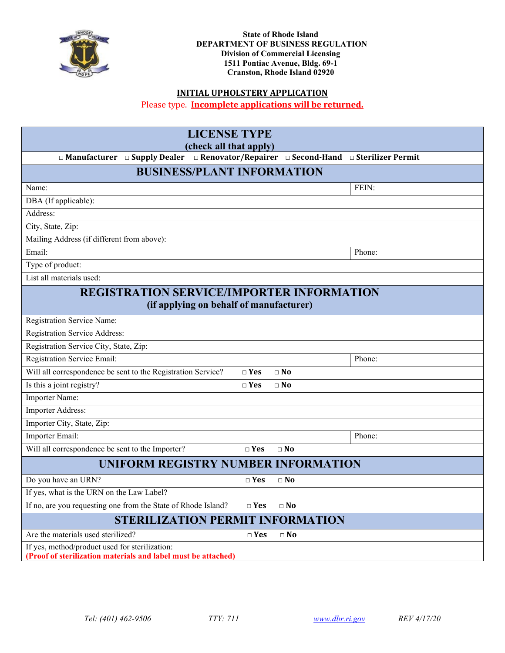

## **INITIAL UPHOLSTERY APPLICATION**

Please type. **Incomplete applications will be returned.**

| <b>LICENSE TYPE</b>                                                                                             |               |              |        |  |  |
|-----------------------------------------------------------------------------------------------------------------|---------------|--------------|--------|--|--|
| (check all that apply)                                                                                          |               |              |        |  |  |
| □ Manufacturer □ Supply Dealer □ Renovator/Repairer □ Second-Hand □ Sterilizer Permit                           |               |              |        |  |  |
| <b>BUSINESS/PLANT INFORMATION</b>                                                                               |               |              |        |  |  |
| Name:                                                                                                           |               |              | FEIN:  |  |  |
| DBA (If applicable):                                                                                            |               |              |        |  |  |
| Address:                                                                                                        |               |              |        |  |  |
| City, State, Zip:                                                                                               |               |              |        |  |  |
| Mailing Address (if different from above):                                                                      |               |              |        |  |  |
| Email:                                                                                                          |               |              | Phone: |  |  |
| Type of product:                                                                                                |               |              |        |  |  |
| List all materials used:                                                                                        |               |              |        |  |  |
| <b>REGISTRATION SERVICE/IMPORTER INFORMATION</b>                                                                |               |              |        |  |  |
| (if applying on behalf of manufacturer)                                                                         |               |              |        |  |  |
| Registration Service Name:                                                                                      |               |              |        |  |  |
| <b>Registration Service Address:</b>                                                                            |               |              |        |  |  |
| Registration Service City, State, Zip:                                                                          |               |              |        |  |  |
| Registration Service Email:                                                                                     |               |              | Phone: |  |  |
| Will all correspondence be sent to the Registration Service?                                                    | $\square$ Yes | $\Box$ No    |        |  |  |
| Is this a joint registry?                                                                                       | $\square$ Yes | $\square$ No |        |  |  |
| <b>Importer Name:</b>                                                                                           |               |              |        |  |  |
| Importer Address:                                                                                               |               |              |        |  |  |
| Importer City, State, Zip:                                                                                      |               |              |        |  |  |
| Importer Email:                                                                                                 |               |              | Phone: |  |  |
| Will all correspondence be sent to the Importer?                                                                | $\square$ Yes | $\square$ No |        |  |  |
| <b>UNIFORM REGISTRY NUMBER INFORMATION</b>                                                                      |               |              |        |  |  |
| Do you have an URN?                                                                                             | $\Box$ Yes    | $\Box$ No    |        |  |  |
| If yes, what is the URN on the Law Label?                                                                       |               |              |        |  |  |
| If no, are you requesting one from the State of Rhode Island?                                                   | $\Box$ Yes    | $\Box$ No    |        |  |  |
| <b>STERILIZATION PERMIT INFORMATION</b>                                                                         |               |              |        |  |  |
| Are the materials used sterilized?                                                                              | $\Box$ Yes    | $\Box$ No    |        |  |  |
| If yes, method/product used for sterilization:<br>(Proof of sterilization materials and label must be attached) |               |              |        |  |  |